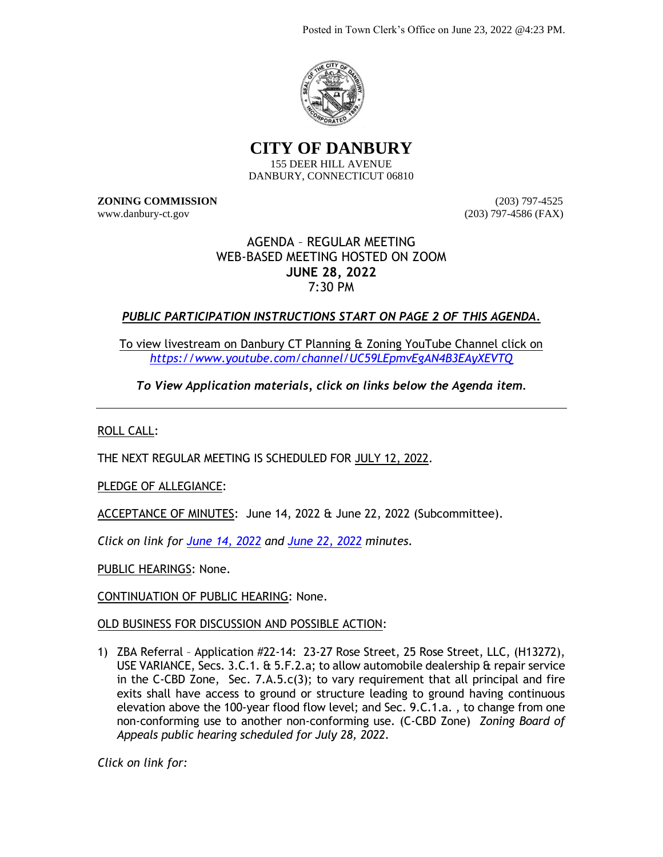Posted in Town Clerk's Office on June 23, 2022 @4:23 PM.



**CITY OF DANBURY** 155 DEER HILL AVENUE DANBURY, CONNECTICUT 06810

**ZONING COMMISSION** (203) 797-4525 www.danbury-ct.gov (203) 797-4586 (FAX)

## AGENDA – REGULAR MEETING WEB-BASED MEETING HOSTED ON ZOOM **JUNE 28, 2022** 7:30 PM

## *PUBLIC PARTICIPATION INSTRUCTIONS START ON PAGE 2 OF THIS AGENDA.*

To view livestream on Danbury CT Planning & Zoning YouTube Channel click on *<https://www.youtube.com/channel/UC59LEpmvEgAN4B3EAyXEVTQ>*

*To View Application materials, click on links below the Agenda item.*

ROLL CALL:

THE NEXT REGULAR MEETING IS SCHEDULED FOR JULY 12, 2022.

PLEDGE OF ALLEGIANCE:

ACCEPTANCE OF MINUTES: June 14, 2022 & June 22, 2022 (Subcommittee).

*Click on link for [June 14, 2022](https://www.danbury-ct.gov/wp-content/uploads/2022/06/ZC-Minutes-06.14.22.pdf) and [June 22, 2022](https://www.danbury-ct.gov/wp-content/uploads/2022/06/ZC-Minutes-Special-Subcommittee-06.22.22.pdf) minutes.*

PUBLIC HEARINGS: None.

CONTINUATION OF PUBLIC HEARING: None.

OLD BUSINESS FOR DISCUSSION AND POSSIBLE ACTION:

1) ZBA Referral – Application #22-14: 23-27 Rose Street, 25 Rose Street, LLC, (H13272), USE VARIANCE, Secs. 3.C.1. & 5.F.2.a; to allow automobile dealership & repair service in the C-CBD Zone, Sec. 7.A.5.c(3); to vary requirement that all principal and fire exits shall have access to ground or structure leading to ground having continuous elevation above the 100-year flood flow level; and Sec. 9.C.1.a. , to change from one non-conforming use to another non-conforming use. (C-CBD Zone) *Zoning Board of Appeals public hearing scheduled for July 28, 2022.*

*Click on link for:*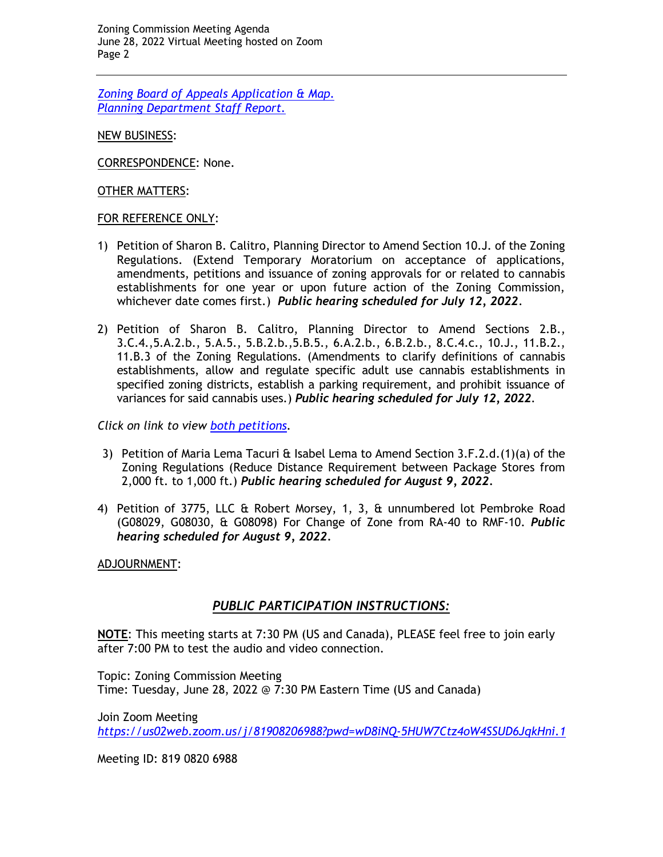Zoning Commission Meeting Agenda June 28, 2022 Virtual Meeting hosted on Zoom Page 2

*[Zoning Board of Appeals Application & Map.](https://www.danbury-ct.gov/wp-content/uploads/2022/06/23-27-Rose-St.ZBA-22-14-application-Plans.pdf) [Planning Department Staff Report.](https://www.danbury-ct.gov/wp-content/uploads/2022/06/23-27-Rose-St-aka-25-Rose-St-LLC.pdf)*

NEW BUSINESS:

CORRESPONDENCE: None.

OTHER MATTERS:

## FOR REFERENCE ONLY:

- 1) Petition of Sharon B. Calitro, Planning Director to Amend Section 10.J. of the Zoning Regulations. (Extend Temporary Moratorium on acceptance of applications, amendments, petitions and issuance of zoning approvals for or related to cannabis establishments for one year or upon future action of the Zoning Commission, whichever date comes first.) *Public hearing scheduled for July 12, 2022*.
- 2) Petition of Sharon B. Calitro, Planning Director to Amend Sections 2.B., 3.C.4.,5.A.2.b., 5.A.5., 5.B.2.b.,5.B.5., 6.A.2.b., 6.B.2.b., 8.C.4.c., 10.J., 11.B.2., 11.B.3 of the Zoning Regulations. (Amendments to clarify definitions of cannabis establishments, allow and regulate specific adult use cannabis establishments in specified zoning districts, establish a parking requirement, and prohibit issuance of variances for said cannabis uses.) *Public hearing scheduled for July 12, 2022.*

*Click on link to view [both petitions.](https://www.danbury-ct.gov/wp-content/uploads/2022/05/ZC-agenda-05.24.22-w-links.pdf)*

- 3) Petition of Maria Lema Tacuri  $\hat{a}$  Isabel Lema to Amend Section 3.F.2.d.(1)(a) of the Zoning Regulations (Reduce Distance Requirement between Package Stores from 2,000 ft. to 1,000 ft.) *Public hearing scheduled for August 9, 2022.*
- 4) Petition of 3775, LLC & Robert Morsey, 1, 3, & unnumbered lot Pembroke Road (G08029, G08030, & G08098) For Change of Zone from RA-40 to RMF-10. *Public hearing scheduled for August 9, 2022.*

ADJOURNMENT:

## *PUBLIC PARTICIPATION INSTRUCTIONS:*

**NOTE**: This meeting starts at 7:30 PM (US and Canada), PLEASE feel free to join early after 7:00 PM to test the audio and video connection.

Topic: Zoning Commission Meeting Time: Tuesday, June 28, 2022 @ 7:30 PM Eastern Time (US and Canada)

Join Zoom Meeting

*<https://us02web.zoom.us/j/81908206988?pwd=wD8iNQ-5HUW7Ctz4oW4SSUD6JqkHni.1>*

Meeting ID: 819 0820 6988